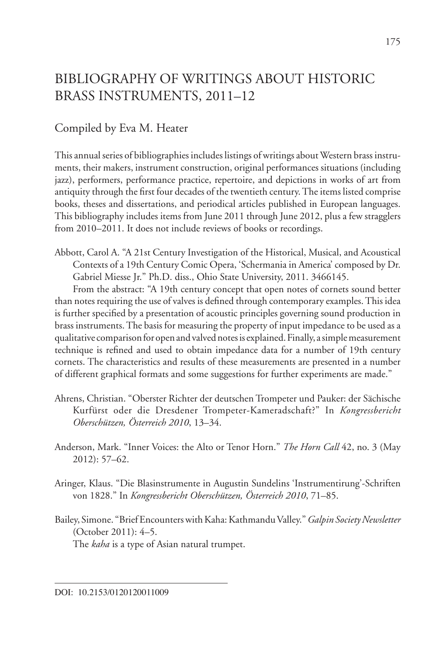## BIBLIOGRAPHY OF WRITINGS ABOUT HISTORIC BRASS INSTRUMENTS, 2011–12

## Compiled by Eva M. Heater

This annual series of bibliographies includes listings of writings about Western brass instruments, their makers, instrument construction, original performances situations (including jazz), performers, performance practice, repertoire, and depictions in works of art from antiquity through the first four decades of the twentieth century. The items listed comprise books, theses and dissertations, and periodical articles published in European languages. This bibliography includes items from June 2011 through June 2012, plus a few stragglers from 2010–2011. It does not include reviews of books or recordings.

Abbott, Carol A. "A 21st Century Investigation of the Historical, Musical, and Acoustical Contexts of a 19th Century Comic Opera, 'Schermania in America' composed by Dr. Gabriel Miesse Jr." Ph.D. diss., Ohio State University, 2011. 3466145.

From the abstract: "A 19th century concept that open notes of cornets sound better than notes requiring the use of valves is defined through contemporary examples. This idea is further specified by a presentation of acoustic principles governing sound production in brass instruments. The basis for measuring the property of input impedance to be used as a qualitative comparison for open and valved notes is explained. Finally, a simple measurement technique is refined and used to obtain impedance data for a number of 19th century cornets. The characteristics and results of these measurements are presented in a number of different graphical formats and some suggestions for further experiments are made."

- Ahrens, Christian. "Oberster Richter der deutschen Trompeter und Pauker: der Sächische Kurfürst oder die Dresdener Trompeter-Kameradschaft?" In *Kongressbericht Oberschützen, Österreich 2010*, 13–34.
- Anderson, Mark. "Inner Voices: the Alto or Tenor Horn." *The Horn Call* 42, no. 3 (May 2012): 57–62.
- Aringer, Klaus. "Die Blasinstrumente in Augustin Sundelins 'Instrumentirung'-Schriften von 1828." In *Kongressbericht Oberschützen, Österreich 2010*, 71–85.
- Bailey, Simone. "Brief Encounters with Kaha: Kathmandu Valley." *Galpin Society Newsletter* (October 2011): 4–5. The *kaha* is a type of Asian natural trumpet.

DOI: 10.2153/0120120011009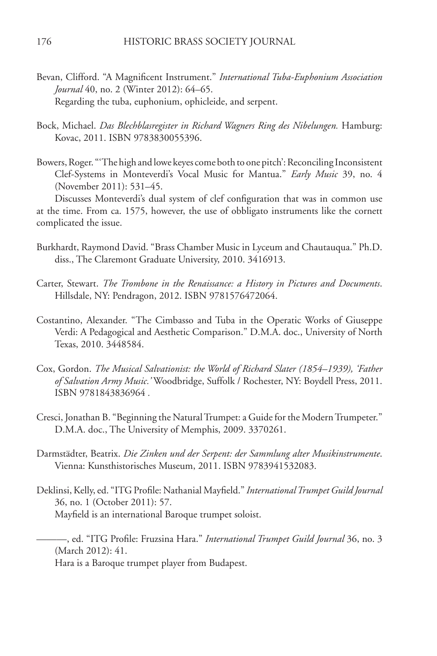- Bevan, Clifford. "A Magnificent Instrument." *International Tuba-Euphonium Association Journal* 40, no. 2 (Winter 2012): 64–65. Regarding the tuba, euphonium, ophicleide, and serpent.
- Bock, Michael. *Das Blechblasregister in Richard Wagners Ring des Nibelungen.* Hamburg: Kovac, 2011. ISBN 9783830055396.
- Bowers, Roger. "'The high and lowe keyes come both to one pitch': Reconciling Inconsistent Clef-Systems in Monteverdi's Vocal Music for Mantua." *Early Music* 39, no. 4 (November 2011): 531–45.

Discusses Monteverdi's dual system of clef configuration that was in common use at the time. From ca. 1575, however, the use of obbligato instruments like the cornett complicated the issue.

- Burkhardt, Raymond David. "Brass Chamber Music in Lyceum and Chautauqua." Ph.D. diss., The Claremont Graduate University, 2010. 3416913.
- Carter, Stewart. *The Trombone in the Renaissance: a History in Pictures and Documents*. Hillsdale, NY: Pendragon, 2012. ISBN 9781576472064.
- Costantino, Alexander. "The Cimbasso and Tuba in the Operatic Works of Giuseppe Verdi: A Pedagogical and Aesthetic Comparison." D.M.A. doc., University of North Texas, 2010. 3448584.
- Cox, Gordon. *The Musical Salvationist: the World of Richard Slater (1854–1939), 'Father of Salvation Army Music.'* Woodbridge, Suffolk / Rochester, NY: Boydell Press, 2011. ISBN 9781843836964 *.*
- Cresci, Jonathan B. "Beginning the Natural Trumpet: a Guide for the Modern Trumpeter." D.M.A. doc., The University of Memphis, 2009. 3370261.
- Darmstädter, Beatrix. *Die Zinken und der Serpent: der Sammlung alter Musikinstrumente*. Vienna: Kunsthistorisches Museum, 2011. ISBN 9783941532083.
- Deklinsi, Kelly, ed. "ITG Profile: Nathanial Mayfield." *International Trumpet Guild Journal* 36, no. 1 (October 2011): 57. Mayfield is an international Baroque trumpet soloist.

———, ed. "ITG Profile: Fruzsina Hara." *International Trumpet Guild Journal* 36, no. 3 (March 2012): 41.

Hara is a Baroque trumpet player from Budapest.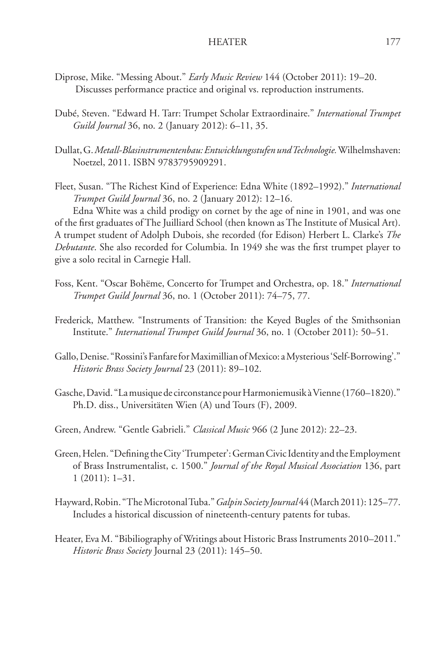- Diprose, Mike. "Messing About." *Early Music Review* 144 (October 2011): 19–20. Discusses performance practice and original vs. reproduction instruments.
- Dubé, Steven. "Edward H. Tarr: Trumpet Scholar Extraordinaire." *International Trumpet Guild Journal* 36, no. 2 (January 2012): 6–11, 35.
- Dullat, G. *Metall-Blasinstrumentenbau: Entwicklungsstufen und Technologie.*Wilhelmshaven: Noetzel, 2011. ISBN 9783795909291.
- Fleet, Susan. "The Richest Kind of Experience: Edna White (1892–1992)." *International Trumpet Guild Journal* 36, no. 2 (January 2012): 12–16.

Edna White was a child prodigy on cornet by the age of nine in 1901, and was one of the first graduates of The Juilliard School (then known as The Institute of Musical Art). A trumpet student of Adolph Dubois, she recorded (for Edison) Herbert L. Clarke's *The Debutante*. She also recorded for Columbia. In 1949 she was the first trumpet player to give a solo recital in Carnegie Hall.

- Foss, Kent. "Oscar Bohëme, Concerto for Trumpet and Orchestra, op. 18." *International Trumpet Guild Journal* 36, no. 1 (October 2011): 74–75, 77.
- Frederick, Matthew. "Instruments of Transition: the Keyed Bugles of the Smithsonian Institute." *International Trumpet Guild Journal* 36, no. 1 (October 2011): 50–51.
- Gallo, Denise. "Rossini's Fanfare for Maximillian of Mexico: a Mysterious 'Self-Borrowing'." *Historic Brass Society Journal* 23 (2011): 89–102.
- Gasche, David. "La musique de circonstance pour Harmoniemusik à Vienne (1760–1820)." Ph.D. diss., Universitäten Wien (A) und Tours (F), 2009.
- Green, Andrew. "Gentle Gabrieli." *Classical Music* 966 (2 June 2012): 22–23.
- Green, Helen. "Defining the City 'Trumpeter': German Civic Identity and the Employment of Brass Instrumentalist, c. 1500." *Journal of the Royal Musical Association* 136, part 1 (2011): 1–31.
- Hayward, Robin. "The Microtonal Tuba." *Galpin Society Journal* 44 (March 2011): 125–77. Includes a historical discussion of nineteenth-century patents for tubas.
- Heater, Eva M. "Bibiliography of Writings about Historic Brass Instruments 2010–2011." *Historic Brass Society* Journal 23 (2011): 145–50.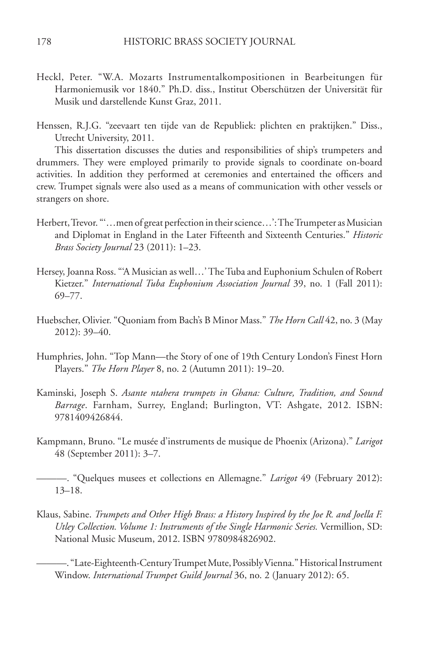- Heckl, Peter. "W.A. Mozarts Instrumentalkompositionen in Bearbeitungen für Harmoniemusik vor 1840." Ph.D. diss., Institut Oberschützen der Universität für Musik und darstellende Kunst Graz, 2011.
- Henssen, R.J.G. "zeevaart ten tijde van de Republiek: plichten en praktijken." Diss., Utrecht University, 2011.

This dissertation discusses the duties and responsibilities of ship's trumpeters and drummers. They were employed primarily to provide signals to coordinate on-board activities. In addition they performed at ceremonies and entertained the officers and crew. Trumpet signals were also used as a means of communication with other vessels or strangers on shore.

- Herbert, Trevor. "'…men of great perfection in their science…': The Trumpeter as Musician and Diplomat in England in the Later Fifteenth and Sixteenth Centuries." *Historic Brass Society Journal* 23 (2011): 1–23.
- Hersey, Joanna Ross. "'A Musician as well…' The Tuba and Euphonium Schulen of Robert Kietzer." *International Tuba Euphonium Association Journal* 39, no. 1 (Fall 2011): 69–77.
- Huebscher, Olivier. "Quoniam from Bach's B Minor Mass." *The Horn Call* 42, no. 3 (May 2012): 39–40.
- Humphries, John. "Top Mann—the Story of one of 19th Century London's Finest Horn Players." *The Horn Player* 8, no. 2 (Autumn 2011): 19–20.
- Kaminski, Joseph S. *Asante ntahera trumpets in Ghana: Culture, Tradition, and Sound Barrage*. Farnham, Surrey, England; Burlington, VT: Ashgate, 2012. ISBN: 9781409426844.
- Kampmann, Bruno. "Le musée d'instruments de musique de Phoenix (Arizona)." *Larigot* 48 (September 2011): 3–7.

- Klaus, Sabine. *Trumpets and Other High Brass: a History Inspired by the Joe R. and Joella F. Utley Collection. Volume 1: Instruments of the Single Harmonic Series.* Vermillion, SD: National Music Museum, 2012. ISBN 9780984826902.
	- ———. "Late-Eighteenth-Century Trumpet Mute, Possibly Vienna." Historical Instrument Window. *International Trumpet Guild Journal* 36, no. 2 (January 2012): 65.

<sup>———. &</sup>quot;Quelques musees et collections en Allemagne." *Larigot* 49 (February 2012): 13–18.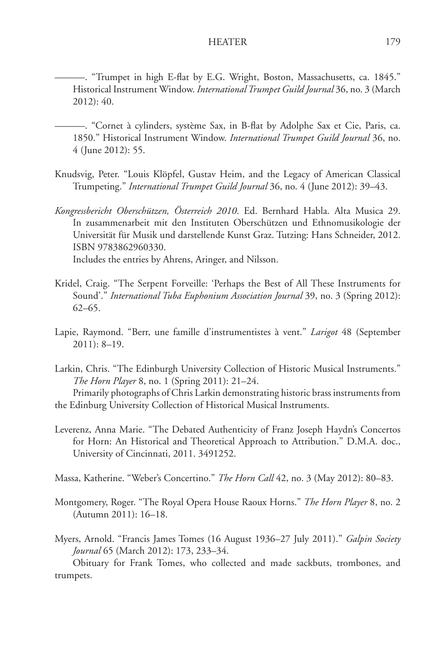## HEATER 179

———. "Trumpet in high E-flat by E.G. Wright, Boston, Massachusetts, ca. 1845." Historical Instrument Window. *International Trumpet Guild Journal* 36, no. 3 (March 2012): 40.

———. "Cornet à cylinders, système Sax, in B-flat by Adolphe Sax et Cie, Paris, ca. 1850." Historical Instrument Window. *International Trumpet Guild Journal* 36, no. 4 (June 2012): 55.

Knudsvig, Peter. "Louis Klöpfel, Gustav Heim, and the Legacy of American Classical Trumpeting." *International Trumpet Guild Journal* 36, no. 4 (June 2012): 39–43.

*Kongressbericht Oberschützen, Österreich 2010*. Ed. Bernhard Habla. Alta Musica 29. In zusammenarbeit mit den Instituten Oberschützen und Ethnomusikologie der Universität für Musik und darstellende Kunst Graz. Tutzing: Hans Schneider, 2012. ISBN 9783862960330. Includes the entries by Ahrens, Aringer, and Nilsson.

- Kridel, Craig. "The Serpent Forveille: 'Perhaps the Best of All These Instruments for Sound'." *International Tuba Euphonium Association Journal* 39, no. 3 (Spring 2012): 62–65.
- Lapie, Raymond. "Berr, une famille d'instrumentistes à vent." *Larigot* 48 (September 2011): 8–19.
- Larkin, Chris. "The Edinburgh University Collection of Historic Musical Instruments." *The Horn Player* 8, no. 1 (Spring 2011): 21–24.

Primarily photographs of Chris Larkin demonstrating historic brass instruments from the Edinburg University Collection of Historical Musical Instruments.

- Leverenz, Anna Marie. "The Debated Authenticity of Franz Joseph Haydn's Concertos for Horn: An Historical and Theoretical Approach to Attribution." D.M.A. doc., University of Cincinnati, 2011. 3491252.
- Massa, Katherine. "Weber's Concertino." *The Horn Call* 42, no. 3 (May 2012): 80–83.
- Montgomery, Roger. "The Royal Opera House Raoux Horns." *The Horn Player* 8, no. 2 (Autumn 2011): 16–18.
- Myers, Arnold. "Francis James Tomes (16 August 1936–27 July 2011)." *Galpin Society Journal* 65 (March 2012): 173, 233–34.

Obituary for Frank Tomes, who collected and made sackbuts, trombones, and trumpets.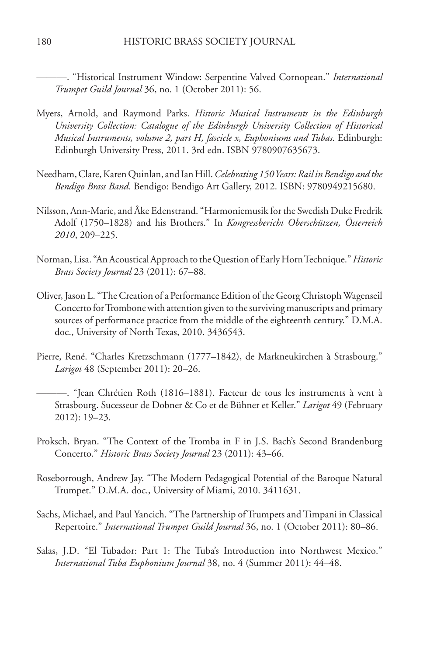———. "Historical Instrument Window: Serpentine Valved Cornopean." *International Trumpet Guild Journal* 36, no. 1 (October 2011): 56.

- Myers, Arnold, and Raymond Parks. *Historic Musical Instruments in the Edinburgh University Collection: Catalogue of the Edinburgh University Collection of Historical Musical Instruments, volume 2, part H, fascicle x, Euphoniums and Tubas*. Edinburgh: Edinburgh University Press, 2011. 3rd edn. ISBN 9780907635673.
- Needham, Clare, Karen Quinlan, and Ian Hill. *Celebrating 150 Years: Rail in Bendigo and the Bendigo Brass Band*. Bendigo: Bendigo Art Gallery, 2012. ISBN: 9780949215680.
- Nilsson, Ann-Marie, and Åke Edenstrand. "Harmoniemusik for the Swedish Duke Fredrik Adolf (1750–1828) and his Brothers." In *Kongressbericht Oberschützen, Österreich 2010*, 209–225.
- Norman, Lisa. "An Acoustical Approach to the Question of Early Horn Technique." *Historic Brass Society Journal* 23 (2011): 67–88.
- Oliver, Jason L. "The Creation of a Performance Edition of the Georg Christoph Wagenseil Concerto for Trombone with attention given to the surviving manuscripts and primary sources of performance practice from the middle of the eighteenth century." D.M.A. doc., University of North Texas, 2010. 3436543.
- Pierre, René. "Charles Kretzschmann (1777–1842), de Markneukirchen à Strasbourg." *Larigot* 48 (September 2011): 20–26.
	- ———. "Jean Chrétien Roth (1816–1881). Facteur de tous les instruments à vent à Strasbourg. Sucesseur de Dobner & Co et de Bühner et Keller." *Larigot* 49 (February 2012): 19–23.
- Proksch, Bryan. "The Context of the Tromba in F in J.S. Bach's Second Brandenburg Concerto." *Historic Brass Society Journal* 23 (2011): 43–66.
- Roseborrough, Andrew Jay. "The Modern Pedagogical Potential of the Baroque Natural Trumpet." D.M.A. doc., University of Miami, 2010. 3411631.
- Sachs, Michael, and Paul Yancich. "The Partnership of Trumpets and Timpani in Classical Repertoire." *International Trumpet Guild Journal* 36, no. 1 (October 2011): 80–86.
- Salas, J.D. "El Tubador: Part 1: The Tuba's Introduction into Northwest Mexico." *International Tuba Euphonium Journal* 38, no. 4 (Summer 2011): 44–48.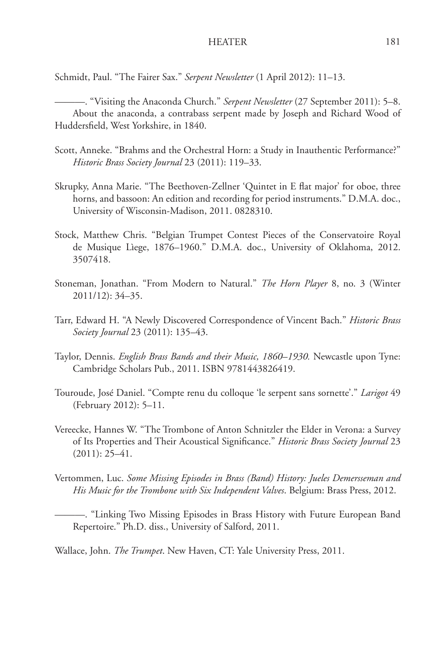Schmidt, Paul. "The Fairer Sax." *Serpent Newsletter* (1 April 2012): 11–13.

———. "Visiting the Anaconda Church." *Serpent Newsletter* (27 September 2011): 5–8. About the anaconda, a contrabass serpent made by Joseph and Richard Wood of Huddersfield, West Yorkshire, in 1840.

- Scott, Anneke. "Brahms and the Orchestral Horn: a Study in Inauthentic Performance?" *Historic Brass Society Journal* 23 (2011): 119–33.
- Skrupky, Anna Marie. "The Beethoven-Zellner 'Quintet in E flat major' for oboe, three horns, and bassoon: An edition and recording for period instruments." D.M.A. doc., University of Wisconsin-Madison, 2011. 0828310.
- Stock, Matthew Chris. "Belgian Trumpet Contest Pieces of the Conservatoire Royal de Musique Lìege, 1876–1960." D.M.A. doc., University of Oklahoma, 2012. 3507418.
- Stoneman, Jonathan. "From Modern to Natural." *The Horn Player* 8, no. 3 (Winter 2011/12): 34–35.
- Tarr, Edward H. "A Newly Discovered Correspondence of Vincent Bach." *Historic Brass Society Journal* 23 (2011): 135–43.
- Taylor, Dennis. *English Brass Bands and their Music, 1860–1930.* Newcastle upon Tyne: Cambridge Scholars Pub., 2011. ISBN 9781443826419.
- Touroude, José Daniel. "Compte renu du colloque 'le serpent sans sornette'." *Larigot* 49 (February 2012): 5–11.
- Vereecke, Hannes W. "The Trombone of Anton Schnitzler the Elder in Verona: a Survey of Its Properties and Their Acoustical Significance." *Historic Brass Society Journal* 23  $(2011): 25-41.$
- Vertommen, Luc. *Some Missing Episodes in Brass (Band) History: Jueles Demersseman and His Music for the Trombone with Six Independent Valves*. Belgium: Brass Press, 2012.

———. "Linking Two Missing Episodes in Brass History with Future European Band Repertoire." Ph.D. diss., University of Salford, 2011.

Wallace, John. *The Trumpet*. New Haven, CT: Yale University Press, 2011.